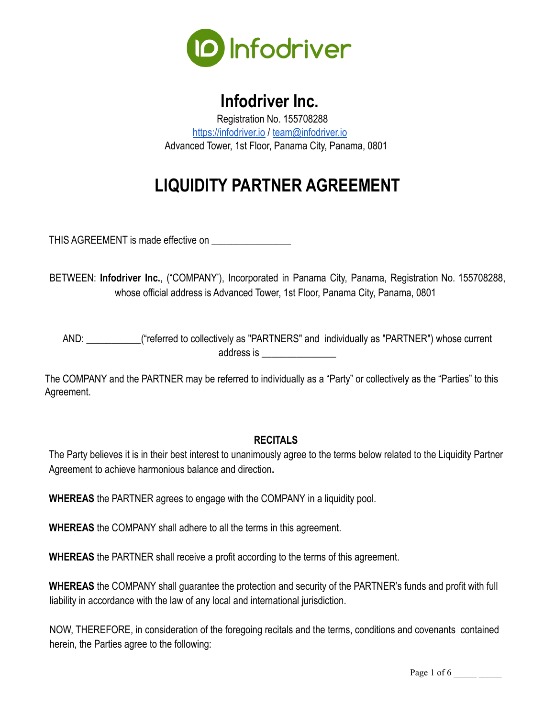

## **Infodriver Inc.**

Registration No. 155708288 <https://infodriver.io> / [team@infodriver.io](mailto:team@infodriver.io) Advanced Tower, 1st Floor, Panama City, Panama, 0801

# **LIQUIDITY PARTNER AGREEMENT**

THIS AGREEMENT is made effective on

BETWEEN: **Infodriver Inc.**, ("COMPANY'), Incorporated in Panama City, Panama, Registration No. 155708288, whose official address is Advanced Tower, 1st Floor, Panama City, Panama, 0801

AND: \_\_\_\_\_\_\_\_\_\_\_("referred to collectively as "PARTNERS" and individually as "PARTNER") whose current address is \_\_\_\_\_\_\_\_\_\_\_\_\_\_\_

The COMPANY and the PARTNER may be referred to individually as a "Party" or collectively as the "Parties" to this Agreement.

#### **RECITALS**

The Party believes it is in their best interest to unanimously agree to the terms below related to the Liquidity Partner Agreement to achieve harmonious balance and direction**.**

**WHEREAS** the PARTNER agrees to engage with the COMPANY in a liquidity pool.

**WHEREAS** the COMPANY shall adhere to all the terms in this agreement.

**WHEREAS** the PARTNER shall receive a profit according to the terms of this agreement.

**WHEREAS** the COMPANY shall guarantee the protection and security of the PARTNER's funds and profit with full liability in accordance with the law of any local and international jurisdiction.

NOW, THEREFORE, in consideration of the foregoing recitals and the terms, conditions and covenants contained herein, the Parties agree to the following:

Page 1 of  $6 \_$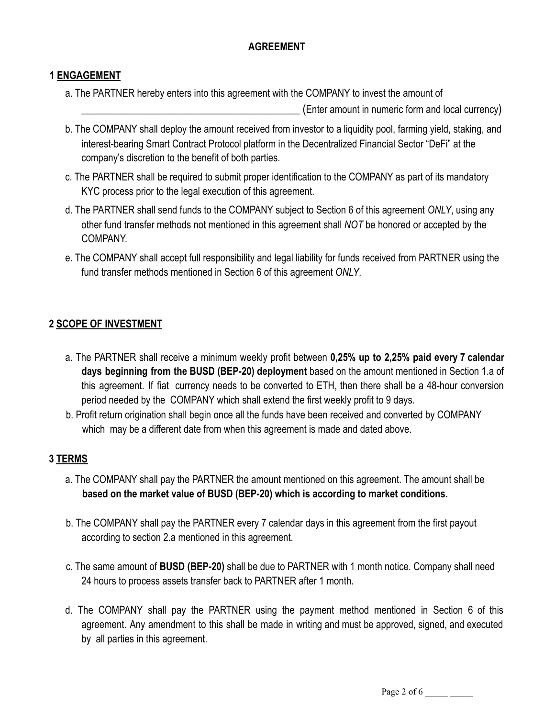## **AGREEMENT**

#### **1 ENGAGEMENT**

a. The PARTNER hereby enters into this agreement with the COMPANY to invest the amount of

(Enter amount in numeric form and local currency)

- b. The COMPANY shall deploy the amount received from investor to a liquidity pool, farming yield, staking, and interest-bearing Smart Contract Protocol platform in the Decentralized Financial Sector "DeFi" at the company's discretion to the benefit of both parties.
- c. The PARTNER shall be required to submit proper identification to the COMPANY as part of its mandatory KYC process prior to the legal execution of this agreement.
- d. The PARTNER shall send funds to the COMPANY subject to Section 6 of this agreement *ONLY*, using any other fund transfer methods not mentioned in this agreement shall *NOT* be honored or accepted by the COMPANY.
- e. The COMPANY shall accept full responsibility and legal liability for funds received from PARTNER using the fund transfer methods mentioned in Section 6 of this agreement *ONLY*.

#### **2 SCOPE OF INVESTMENT**

- a. The PARTNER shall receive a minimum weekly profit between **0,25% up to 2,25% paid every 7 calendar days beginning from the BUSD (BEP-20) deployment** based on the amount mentioned in Section 1.a of this agreement. If fiat currency needs to be converted to ETH, then there shall be a 48-hour conversion period needed by the COMPANY which shall extend the first weekly profit to 9 days.
- b. Profit return origination shall begin once all the funds have been received and converted by COMPANY which may be a different date from when this agreement is made and dated above.

#### **3 TERMS**

- a. The COMPANY shall pay the PARTNER the amount mentioned on this agreement. The amount shall be **based on the market value of BUSD (BEP-20) which is according to market conditions.**
- b. The COMPANY shall pay the PARTNER every 7 calendar days in this agreement from the first payout according to section 2.a mentioned in this agreement.
- c. The same amount of **BUSD (BEP-20)** shall be due to PARTNER with 1 month notice. Company shall need 24 hours to process assets transfer back to PARTNER after 1 month.
- d. The COMPANY shall pay the PARTNER using the payment method mentioned in Section 6 of this agreement. Any amendment to this shall be made in writing and must be approved, signed, and executed by all parties in this agreement.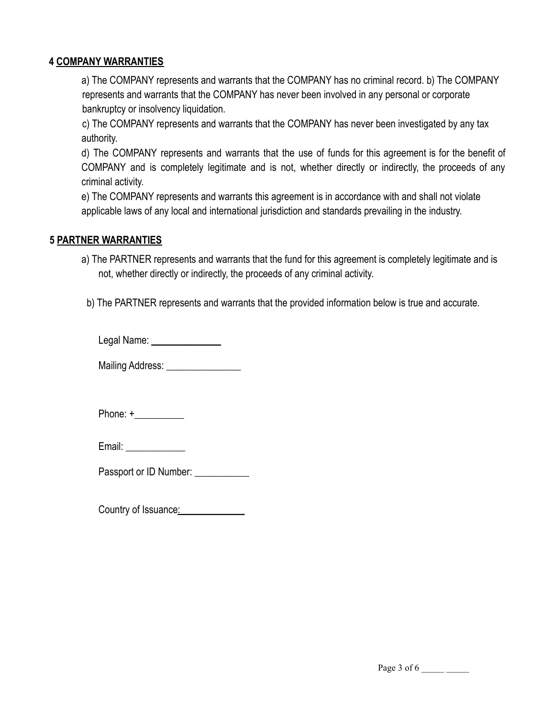#### **4 COMPANY WARRANTIES**

a) The COMPANY represents and warrants that the COMPANY has no criminal record. b) The COMPANY represents and warrants that the COMPANY has never been involved in any personal or corporate bankruptcy or insolvency liquidation.

c) The COMPANY represents and warrants that the COMPANY has never been investigated by any tax authority.

d) The COMPANY represents and warrants that the use of funds for this agreement is for the benefit of COMPANY and is completely legitimate and is not, whether directly or indirectly, the proceeds of any criminal activity.

e) The COMPANY represents and warrants this agreement is in accordance with and shall not violate applicable laws of any local and international jurisdiction and standards prevailing in the industry.

#### **5 PARTNER WARRANTIES**

a) The PARTNER represents and warrants that the fund for this agreement is completely legitimate and is not, whether directly or indirectly, the proceeds of any criminal activity.

b) The PARTNER represents and warrants that the provided information below is true and accurate.

Legal Name: \_\_\_\_\_\_\_\_\_\_\_\_\_\_

Mailing Address:

Phone: +\_\_\_\_\_\_\_\_\_\_

| Email: |
|--------|
|        |
|        |

Passport or ID Number:

Country of Issuance: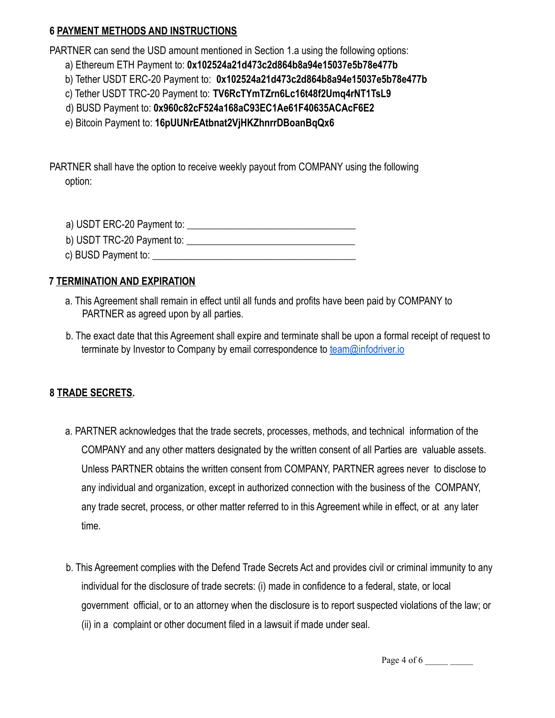#### **6 PAYMENT METHODS AND INSTRUCTIONS**

PARTNER can send the USD amount mentioned in Section 1.a using the following options:

- a) Ethereum ETH Payment to: **0x102524a21d473c2d864b8a94e15037e5b78e477b**
- b) Tether USDT ERC-20 Payment to: **0x102524a21d473c2d864b8a94e15037e5b78e477b**
- c) Tether USDT TRC-20 Payment to: **TV6RcTYmTZrn6Lc16t48f2Umq4rNT1TsL9**
- d) BUSD Payment to: **0x960c82cF524a168aC93EC1Ae61F40635ACAcF6E2**

e) Bitcoin Payment to: **16pUUNrEAtbnat2VjHKZhnrrDBoanBqQx6**

PARTNER shall have the option to receive weekly payout from COMPANY using the following option:

a) USDT ERC-20 Payment to: \_\_\_\_\_\_\_\_\_\_\_\_\_\_\_\_\_\_\_\_\_\_\_\_\_\_\_\_\_\_\_\_\_\_

- b) USDT TRC-20 Payment to:
- c) BUSD Payment to: **\_\_\_\_\_\_\_\_\_\_\_\_\_\_\_\_\_\_\_\_\_\_\_\_\_\_\_\_\_\_\_\_\_\_\_\_\_\_\_\_\_**

### **7 TERMINATION AND EXPIRATION**

- a. This Agreement shall remain in effect until all funds and profits have been paid by COMPANY to PARTNER as agreed upon by all parties.
- b. The exact date that this Agreement shall expire and terminate shall be upon a formal receipt of request to terminate by Investor to Company by email correspondence to [team@infodriver.io](mailto:team@infodriver.io)

## **8 TRADE SECRETS.**

- a. PARTNER acknowledges that the trade secrets, processes, methods, and technical information of the COMPANY and any other matters designated by the written consent of all Parties are valuable assets. Unless PARTNER obtains the written consent from COMPANY, PARTNER agrees never to disclose to any individual and organization, except in authorized connection with the business of the COMPANY, any trade secret, process, or other matter referred to in this Agreement while in effect, or at any later time.
- b. This Agreement complies with the Defend Trade Secrets Act and provides civil or criminal immunity to any individual for the disclosure of trade secrets: (i) made in confidence to a federal, state, or local government official, or to an attorney when the disclosure is to report suspected violations of the law; or (ii) in a complaint or other document filed in a lawsuit if made under seal.

Page 4 of 6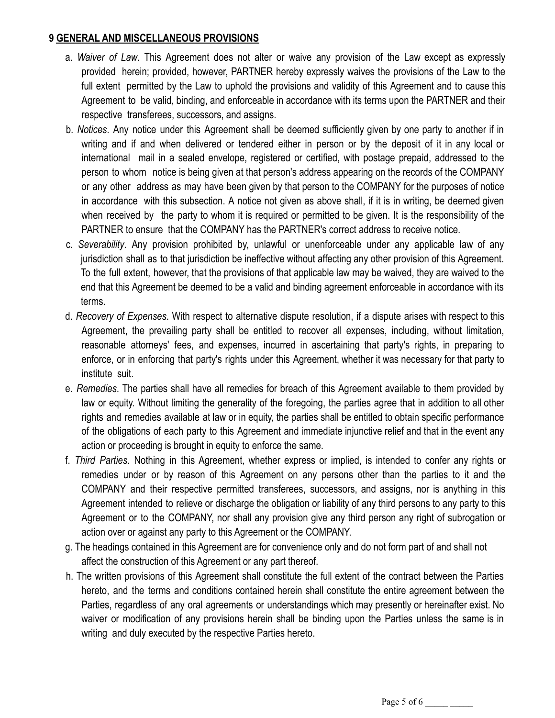#### **9 GENERAL AND MISCELLANEOUS PROVISIONS**

- a. *Waiver of Law*. This Agreement does not alter or waive any provision of the Law except as expressly provided herein; provided, however, PARTNER hereby expressly waives the provisions of the Law to the full extent permitted by the Law to uphold the provisions and validity of this Agreement and to cause this Agreement to be valid, binding, and enforceable in accordance with its terms upon the PARTNER and their respective transferees, successors, and assigns.
- b. *Notices*. Any notice under this Agreement shall be deemed sufficiently given by one party to another if in writing and if and when delivered or tendered either in person or by the deposit of it in any local or international mail in a sealed envelope, registered or certified, with postage prepaid, addressed to the person to whom notice is being given at that person's address appearing on the records of the COMPANY or any other address as may have been given by that person to the COMPANY for the purposes of notice in accordance with this subsection. A notice not given as above shall, if it is in writing, be deemed given when received by the party to whom it is required or permitted to be given. It is the responsibility of the PARTNER to ensure that the COMPANY has the PARTNER's correct address to receive notice.
- c. *Severability*. Any provision prohibited by, unlawful or unenforceable under any applicable law of any jurisdiction shall as to that jurisdiction be ineffective without affecting any other provision of this Agreement. To the full extent, however, that the provisions of that applicable law may be waived, they are waived to the end that this Agreement be deemed to be a valid and binding agreement enforceable in accordance with its terms.
- d. *Recovery of Expenses*. With respect to alternative dispute resolution, if a dispute arises with respect to this Agreement, the prevailing party shall be entitled to recover all expenses, including, without limitation, reasonable attorneys' fees, and expenses, incurred in ascertaining that party's rights, in preparing to enforce, or in enforcing that party's rights under this Agreement, whether it was necessary for that party to institute suit.
- e. *Remedies*. The parties shall have all remedies for breach of this Agreement available to them provided by law or equity. Without limiting the generality of the foregoing, the parties agree that in addition to all other rights and remedies available at law or in equity, the parties shall be entitled to obtain specific performance of the obligations of each party to this Agreement and immediate injunctive relief and that in the event any action or proceeding is brought in equity to enforce the same.
- f. *Third Parties*. Nothing in this Agreement, whether express or implied, is intended to confer any rights or remedies under or by reason of this Agreement on any persons other than the parties to it and the COMPANY and their respective permitted transferees, successors, and assigns, nor is anything in this Agreement intended to relieve or discharge the obligation or liability of any third persons to any party to this Agreement or to the COMPANY, nor shall any provision give any third person any right of subrogation or action over or against any party to this Agreement or the COMPANY.
- g. The headings contained in this Agreement are for convenience only and do not form part of and shall not affect the construction of this Agreement or any part thereof.
- h. The written provisions of this Agreement shall constitute the full extent of the contract between the Parties hereto, and the terms and conditions contained herein shall constitute the entire agreement between the Parties, regardless of any oral agreements or understandings which may presently or hereinafter exist. No waiver or modification of any provisions herein shall be binding upon the Parties unless the same is in writing and duly executed by the respective Parties hereto.